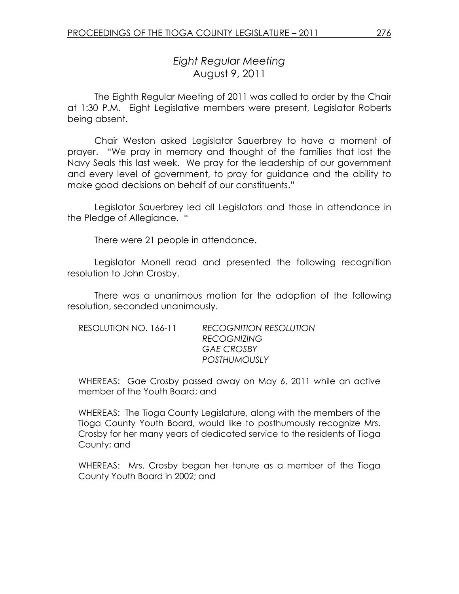# Eight Regular Meeting August 9, 2011

 The Eighth Regular Meeting of 2011 was called to order by the Chair at 1:30 P.M. Eight Legislative members were present, Legislator Roberts being absent.

Chair Weston asked Legislator Sauerbrey to have a moment of prayer. "We pray in memory and thought of the families that lost the Navy Seals this last week. We pray for the leadership of our government and every level of government, to pray for guidance and the ability to make good decisions on behalf of our constituents."

 Legislator Sauerbrey led all Legislators and those in attendance in the Pledge of Allegiance. "

There were 21 people in attendance.

Legislator Monell read and presented the following recognition resolution to John Crosby.

 There was a unanimous motion for the adoption of the following resolution, seconded unanimously.

| RESOLUTION NO. 166-11 | <b>RECOGNITION RESOLUTION</b> |
|-----------------------|-------------------------------|
|                       | <b>RECOGNIZING</b>            |
|                       | <b>GAE CROSBY</b>             |
|                       | <b>POSTHUMOUSLY</b>           |

WHEREAS: Gae Crosby passed away on May 6, 2011 while an active member of the Youth Board; and

WHEREAS: The Tioga County Legislature, along with the members of the Tioga County Youth Board, would like to posthumously recognize Mrs. Crosby for her many years of dedicated service to the residents of Tioga County; and

WHEREAS: Mrs. Crosby began her tenure as a member of the Tioga County Youth Board in 2002; and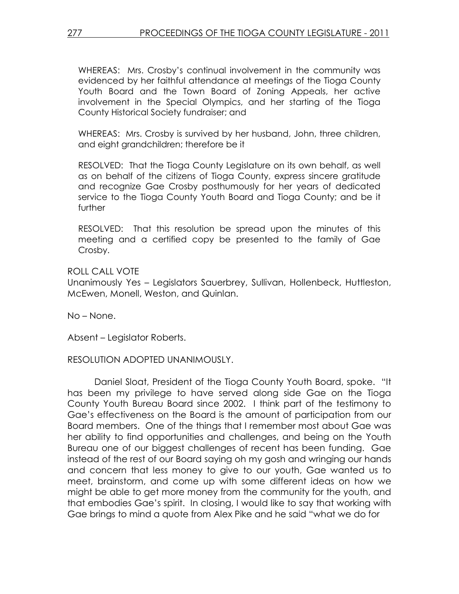WHEREAS: Mrs. Crosby's continual involvement in the community was evidenced by her faithful attendance at meetings of the Tioga County Youth Board and the Town Board of Zoning Appeals, her active involvement in the Special Olympics, and her starting of the Tioga County Historical Society fundraiser; and

WHEREAS: Mrs. Crosby is survived by her husband, John, three children, and eight grandchildren; therefore be it

RESOLVED: That the Tioga County Legislature on its own behalf, as well as on behalf of the citizens of Tioga County, express sincere gratitude and recognize Gae Crosby posthumously for her years of dedicated service to the Tioga County Youth Board and Tioga County; and be it further

RESOLVED: That this resolution be spread upon the minutes of this meeting and a certified copy be presented to the family of Gae Crosby.

ROLL CALL VOTE Unanimously Yes – Legislators Sauerbrey, Sullivan, Hollenbeck, Huttleston, McEwen, Monell, Weston, and Quinlan.

No – None.

Absent – Legislator Roberts.

#### RESOLUTION ADOPTED UNANIMOUSLY.

 Daniel Sloat, President of the Tioga County Youth Board, spoke. "It has been my privilege to have served along side Gae on the Tioga County Youth Bureau Board since 2002. I think part of the testimony to Gae's effectiveness on the Board is the amount of participation from our Board members. One of the things that I remember most about Gae was her ability to find opportunities and challenges, and being on the Youth Bureau one of our biggest challenges of recent has been funding. Gae instead of the rest of our Board saying oh my gosh and wringing our hands and concern that less money to give to our youth, Gae wanted us to meet, brainstorm, and come up with some different ideas on how we might be able to get more money from the community for the youth, and that embodies Gae's spirit. In closing, I would like to say that working with Gae brings to mind a quote from Alex Pike and he said "what we do for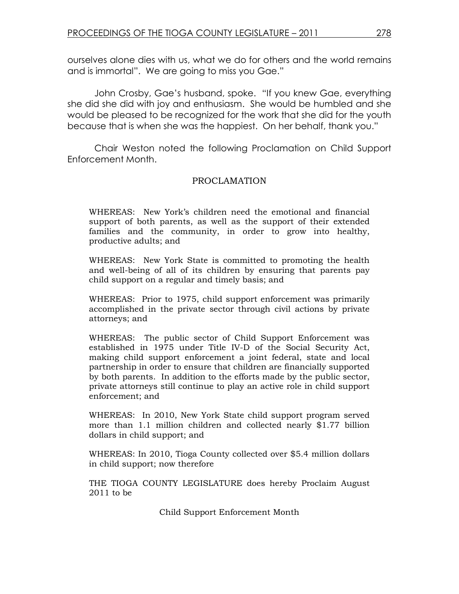ourselves alone dies with us, what we do for others and the world remains and is immortal". We are going to miss you Gae."

 John Crosby, Gae's husband, spoke. "If you knew Gae, everything she did she did with joy and enthusiasm. She would be humbled and she would be pleased to be recognized for the work that she did for the youth because that is when she was the happiest. On her behalf, thank you."

 Chair Weston noted the following Proclamation on Child Support Enforcement Month.

#### PROCLAMATION

WHEREAS: New York's children need the emotional and financial support of both parents, as well as the support of their extended families and the community, in order to grow into healthy, productive adults; and

WHEREAS: New York State is committed to promoting the health and well-being of all of its children by ensuring that parents pay child support on a regular and timely basis; and

WHEREAS: Prior to 1975, child support enforcement was primarily accomplished in the private sector through civil actions by private attorneys; and

WHEREAS: The public sector of Child Support Enforcement was established in 1975 under Title IV-D of the Social Security Act, making child support enforcement a joint federal, state and local partnership in order to ensure that children are financially supported by both parents. In addition to the efforts made by the public sector, private attorneys still continue to play an active role in child support enforcement; and

WHEREAS: In 2010, New York State child support program served more than 1.1 million children and collected nearly \$1.77 billion dollars in child support; and

WHEREAS: In 2010, Tioga County collected over \$5.4 million dollars in child support; now therefore

THE TIOGA COUNTY LEGISLATURE does hereby Proclaim August 2011 to be

Child Support Enforcement Month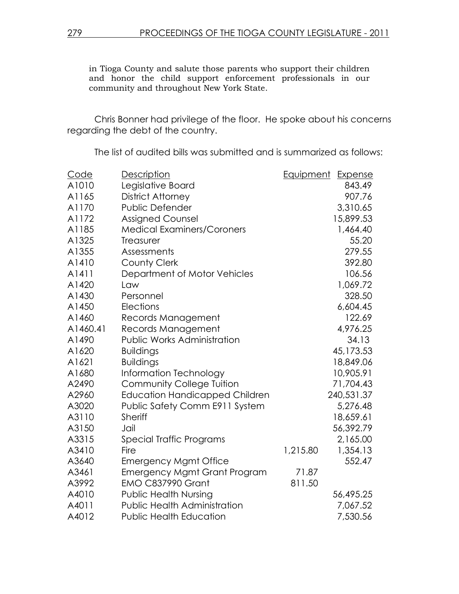in Tioga County and salute those parents who support their children and honor the child support enforcement professionals in our community and throughout New York State.

 Chris Bonner had privilege of the floor. He spoke about his concerns regarding the debt of the country.

The list of audited bills was submitted and is summarized as follows:

| Code     | Description                           | Equipment | Expense    |
|----------|---------------------------------------|-----------|------------|
| A1010    | Legislative Board                     |           | 843.49     |
| A1165    | District Attorney                     |           | 907.76     |
| A1170    | <b>Public Defender</b>                |           | 3,310.65   |
| A1172    | Assigned Counsel                      |           | 15,899.53  |
| A1185    | <b>Medical Examiners/Coroners</b>     |           | 1,464.40   |
| A1325    | <b>Treasurer</b>                      |           | 55.20      |
| A1355    | Assessments                           |           | 279.55     |
| A1410    | <b>County Clerk</b>                   |           | 392.80     |
| A1411    | Department of Motor Vehicles          |           | 106.56     |
| A1420    | Law                                   |           | 1,069.72   |
| A1430    | Personnel                             |           | 328.50     |
| A1450    | Elections                             |           | 6,604.45   |
| A1460    | Records Management                    |           | 122.69     |
| A1460.41 | Records Management                    |           | 4,976.25   |
| A1490    | <b>Public Works Administration</b>    |           | 34.13      |
| A1620    | <b>Buildings</b>                      |           | 45,173.53  |
| A1621    | <b>Buildings</b>                      |           | 18,849.06  |
| A1680    | Information Technology                |           | 10,905.91  |
| A2490    | <b>Community College Tuition</b>      |           | 71,704.43  |
| A2960    | <b>Education Handicapped Children</b> |           | 240,531.37 |
| A3020    | Public Safety Comm E911 System        |           | 5,276.48   |
| A3110    | <b>Sheriff</b>                        |           | 18,659.61  |
| A3150    | Jail                                  |           | 56,392.79  |
| A3315    | Special Traffic Programs              |           | 2,165.00   |
| A3410    | Fire                                  | 1,215.80  | 1,354.13   |
| A3640    | <b>Emergency Mgmt Office</b>          |           | 552.47     |
| A3461    | <b>Emergency Mgmt Grant Program</b>   | 71.87     |            |
| A3992    | <b>EMO C837990 Grant</b>              | 811.50    |            |
| A4010    | <b>Public Health Nursing</b>          |           | 56,495.25  |
| A4011    | <b>Public Health Administration</b>   |           | 7,067.52   |
| A4012    | <b>Public Health Education</b>        |           | 7,530.56   |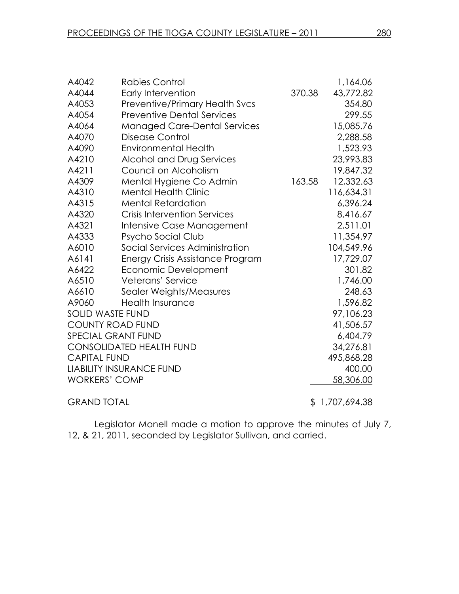| A4042                     | <b>Rabies Control</b>                 |        | 1,164.06     |
|---------------------------|---------------------------------------|--------|--------------|
| A4044                     | Early Intervention                    | 370.38 | 43,772.82    |
| A4053                     | <b>Preventive/Primary Health Svcs</b> |        | 354.80       |
| A4054                     | <b>Preventive Dental Services</b>     |        | 299.55       |
| A4064                     | <b>Managed Care-Dental Services</b>   |        | 15,085.76    |
| A4070                     | Disease Control                       |        | 2,288.58     |
| A4090                     | <b>Environmental Health</b>           |        | 1,523.93     |
| A4210                     | Alcohol and Drug Services             |        | 23,993.83    |
| A4211                     | Council on Alcoholism                 |        | 19,847.32    |
| A4309                     | Mental Hygiene Co Admin               | 163.58 | 12,332.63    |
| A4310                     | <b>Mental Health Clinic</b>           |        | 116,634.31   |
| A4315                     | <b>Mental Retardation</b>             |        | 6,396.24     |
| A4320                     | <b>Crisis Intervention Services</b>   |        | 8,416.67     |
| A4321                     | Intensive Case Management             |        | 2,511.01     |
| A4333                     | Psycho Social Club                    |        | 11,354.97    |
| A6010                     | Social Services Administration        |        | 104,549.96   |
| A6141                     | Energy Crisis Assistance Program      |        | 17,729.07    |
| A6422                     | Economic Development                  |        | 301.82       |
| A6510                     | Veterans' Service                     |        | 1,746.00     |
| A6610                     | Sealer Weights/Measures               |        | 248.63       |
| A9060                     | <b>Health Insurance</b>               |        | 1,596.82     |
| SOLID WASTE FUND          |                                       |        | 97,106.23    |
| <b>COUNTY ROAD FUND</b>   |                                       |        | 41,506.57    |
| <b>SPECIAL GRANT FUND</b> |                                       |        | 6,404.79     |
|                           | <b>CONSOLIDATED HEALTH FUND</b>       |        | 34,276.81    |
| <b>CAPITAL FUND</b>       |                                       |        | 495,868.28   |
|                           | <b>LIABILITY INSURANCE FUND</b>       |        | 400.00       |
| <b>WORKERS' COMP</b>      |                                       |        | 58,306.00    |
| <b>GRAND TOTAL</b>        |                                       | \$     | 1,707,694.38 |

Legislator Monell made a motion to approve the minutes of July 7, 12, & 21, 2011, seconded by Legislator Sullivan, and carried.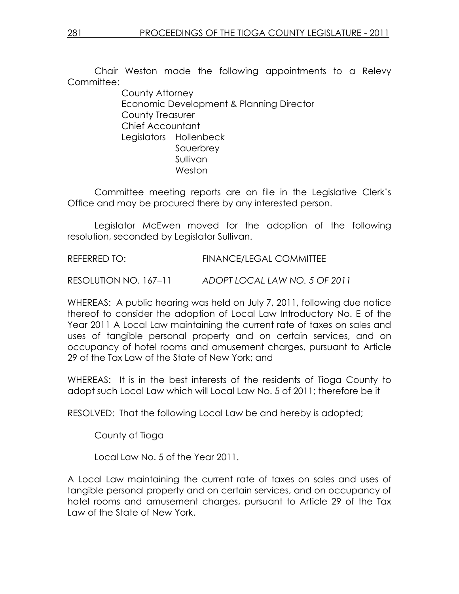Chair Weston made the following appointments to a Relevy Committee:

> County Attorney Economic Development & Planning Director County Treasurer Chief Accountant Legislators Hollenbeck Sauerbrey Sullivan Weston

Committee meeting reports are on file in the Legislative Clerk's Office and may be procured there by any interested person.

 Legislator McEwen moved for the adoption of the following resolution, seconded by Legislator Sullivan.

REFERRED TO: FINANCE/LEGAL COMMITTEE

RESOLUTION NO. 167–11 ADOPT LOCAL LAW NO. 5 OF 2011

WHEREAS: A public hearing was held on July 7, 2011, following due notice thereof to consider the adoption of Local Law Introductory No. E of the Year 2011 A Local Law maintaining the current rate of taxes on sales and uses of tangible personal property and on certain services, and on occupancy of hotel rooms and amusement charges, pursuant to Article 29 of the Tax Law of the State of New York; and

WHEREAS: It is in the best interests of the residents of Tioga County to adopt such Local Law which will Local Law No. 5 of 2011; therefore be it

RESOLVED: That the following Local Law be and hereby is adopted;

County of Tioga

Local Law No. 5 of the Year 2011.

A Local Law maintaining the current rate of taxes on sales and uses of tangible personal property and on certain services, and on occupancy of hotel rooms and amusement charges, pursuant to Article 29 of the Tax Law of the State of New York.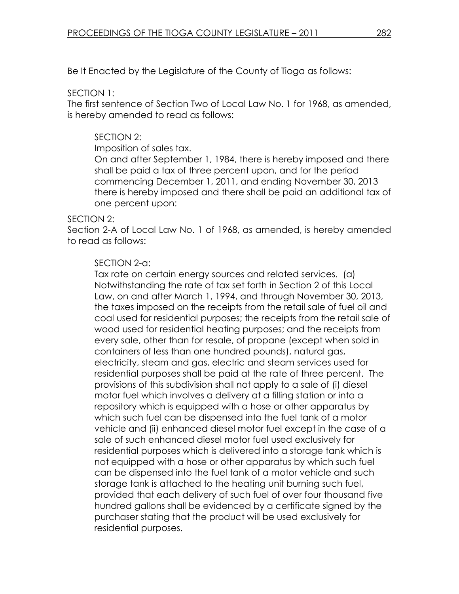Be It Enacted by the Legislature of the County of Tioga as follows:

### SECTION 1:

The first sentence of Section Two of Local Law No. 1 for 1968, as amended, is hereby amended to read as follows:

# SECTION 2:

Imposition of sales tax.

On and after September 1, 1984, there is hereby imposed and there shall be paid a tax of three percent upon, and for the period commencing December 1, 2011, and ending November 30, 2013 there is hereby imposed and there shall be paid an additional tax of one percent upon:

### SECTION 2:

Section 2-A of Local Law No. 1 of 1968, as amended, is hereby amended to read as follows:

## SECTION 2-a:

Tax rate on certain energy sources and related services. (a) Notwithstanding the rate of tax set forth in Section 2 of this Local Law, on and after March 1, 1994, and through November 30, 2013, the taxes imposed on the receipts from the retail sale of fuel oil and coal used for residential purposes; the receipts from the retail sale of wood used for residential heating purposes; and the receipts from every sale, other than for resale, of propane (except when sold in containers of less than one hundred pounds), natural gas, electricity, steam and gas, electric and steam services used for residential purposes shall be paid at the rate of three percent. The provisions of this subdivision shall not apply to a sale of (i) diesel motor fuel which involves a delivery at a filling station or into a repository which is equipped with a hose or other apparatus by which such fuel can be dispensed into the fuel tank of a motor vehicle and (ii) enhanced diesel motor fuel except in the case of a sale of such enhanced diesel motor fuel used exclusively for residential purposes which is delivered into a storage tank which is not equipped with a hose or other apparatus by which such fuel can be dispensed into the fuel tank of a motor vehicle and such storage tank is attached to the heating unit burning such fuel, provided that each delivery of such fuel of over four thousand five hundred gallons shall be evidenced by a certificate signed by the purchaser stating that the product will be used exclusively for residential purposes.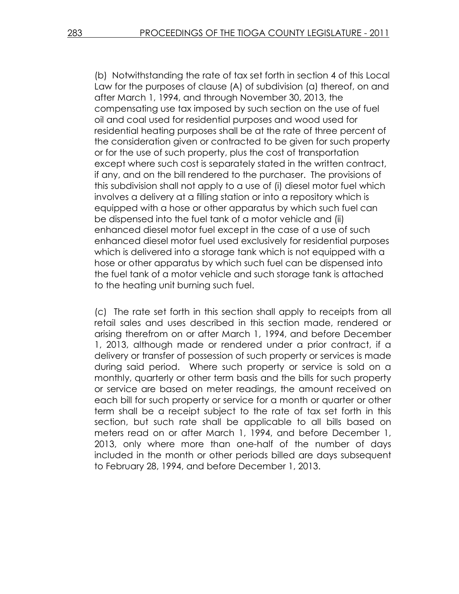(b) Notwithstanding the rate of tax set forth in section 4 of this Local Law for the purposes of clause (A) of subdivision (a) thereof, on and after March 1, 1994, and through November 30, 2013, the compensating use tax imposed by such section on the use of fuel oil and coal used for residential purposes and wood used for residential heating purposes shall be at the rate of three percent of the consideration given or contracted to be given for such property or for the use of such property, plus the cost of transportation except where such cost is separately stated in the written contract, if any, and on the bill rendered to the purchaser. The provisions of this subdivision shall not apply to a use of (i) diesel motor fuel which involves a delivery at a filling station or into a repository which is equipped with a hose or other apparatus by which such fuel can be dispensed into the fuel tank of a motor vehicle and (ii) enhanced diesel motor fuel except in the case of a use of such enhanced diesel motor fuel used exclusively for residential purposes which is delivered into a storage tank which is not equipped with a hose or other apparatus by which such fuel can be dispensed into the fuel tank of a motor vehicle and such storage tank is attached to the heating unit burning such fuel.

(c) The rate set forth in this section shall apply to receipts from all retail sales and uses described in this section made, rendered or arising therefrom on or after March 1, 1994, and before December 1, 2013, although made or rendered under a prior contract, if a delivery or transfer of possession of such property or services is made during said period. Where such property or service is sold on a monthly, quarterly or other term basis and the bills for such property or service are based on meter readings, the amount received on each bill for such property or service for a month or quarter or other term shall be a receipt subject to the rate of tax set forth in this section, but such rate shall be applicable to all bills based on meters read on or after March 1, 1994, and before December 1, 2013, only where more than one-half of the number of days included in the month or other periods billed are days subsequent to February 28, 1994, and before December 1, 2013.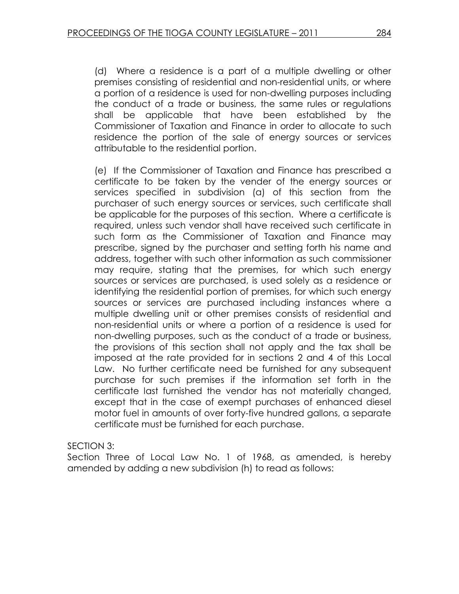(d) Where a residence is a part of a multiple dwelling or other premises consisting of residential and non-residential units, or where a portion of a residence is used for non-dwelling purposes including the conduct of a trade or business, the same rules or regulations shall be applicable that have been established by the Commissioner of Taxation and Finance in order to allocate to such residence the portion of the sale of energy sources or services attributable to the residential portion.

(e) If the Commissioner of Taxation and Finance has prescribed a certificate to be taken by the vender of the energy sources or services specified in subdivision (a) of this section from the purchaser of such energy sources or services, such certificate shall be applicable for the purposes of this section. Where a certificate is required, unless such vendor shall have received such certificate in such form as the Commissioner of Taxation and Finance may prescribe, signed by the purchaser and setting forth his name and address, together with such other information as such commissioner may require, stating that the premises, for which such energy sources or services are purchased, is used solely as a residence or identifying the residential portion of premises, for which such energy sources or services are purchased including instances where a multiple dwelling unit or other premises consists of residential and non-residential units or where a portion of a residence is used for non-dwelling purposes, such as the conduct of a trade or business, the provisions of this section shall not apply and the tax shall be imposed at the rate provided for in sections 2 and 4 of this Local Law. No further certificate need be furnished for any subsequent purchase for such premises if the information set forth in the certificate last furnished the vendor has not materially changed, except that in the case of exempt purchases of enhanced diesel motor fuel in amounts of over forty-five hundred gallons, a separate certificate must be furnished for each purchase.

SECTION 3:

Section Three of Local Law No. 1 of 1968, as amended, is hereby amended by adding a new subdivision (h) to read as follows: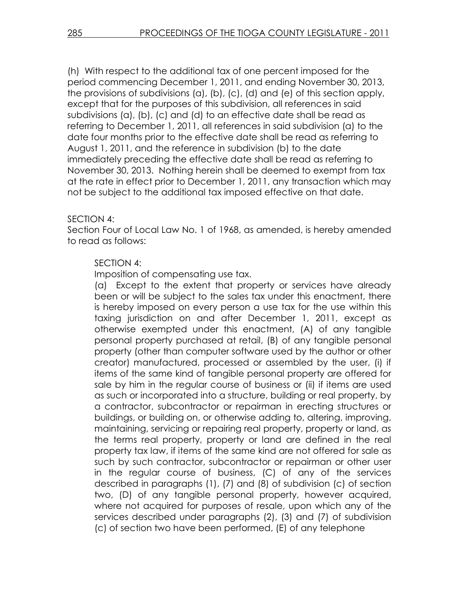(h) With respect to the additional tax of one percent imposed for the period commencing December 1, 2011, and ending November 30, 2013, the provisions of subdivisions (a), (b), (c), (d) and (e) of this section apply, except that for the purposes of this subdivision, all references in said subdivisions (a), (b), (c) and (d) to an effective date shall be read as referring to December 1, 2011, all references in said subdivision (a) to the date four months prior to the effective date shall be read as referring to August 1, 2011, and the reference in subdivision (b) to the date immediately preceding the effective date shall be read as referring to November 30, 2013. Nothing herein shall be deemed to exempt from tax at the rate in effect prior to December 1, 2011, any transaction which may not be subject to the additional tax imposed effective on that date.

### SECTION 4:

Section Four of Local Law No. 1 of 1968, as amended, is hereby amended to read as follows:

### SECTION 4:

Imposition of compensating use tax.

(a) Except to the extent that property or services have already been or will be subject to the sales tax under this enactment, there is hereby imposed on every person a use tax for the use within this taxing jurisdiction on and after December 1, 2011, except as otherwise exempted under this enactment, (A) of any tangible personal property purchased at retail, (B) of any tangible personal property (other than computer software used by the author or other creator) manufactured, processed or assembled by the user, (i) if items of the same kind of tangible personal property are offered for sale by him in the regular course of business or (ii) if items are used as such or incorporated into a structure, building or real property, by a contractor, subcontractor or repairman in erecting structures or buildings, or building on, or otherwise adding to, altering, improving, maintaining, servicing or repairing real property, property or land, as the terms real property, property or land are defined in the real property tax law, if items of the same kind are not offered for sale as such by such contractor, subcontractor or repairman or other user in the regular course of business, (C) of any of the services described in paragraphs (1), (7) and (8) of subdivision (c) of section two, (D) of any tangible personal property, however acquired, where not acquired for purposes of resale, upon which any of the services described under paragraphs (2), (3) and (7) of subdivision (c) of section two have been performed, (E) of any telephone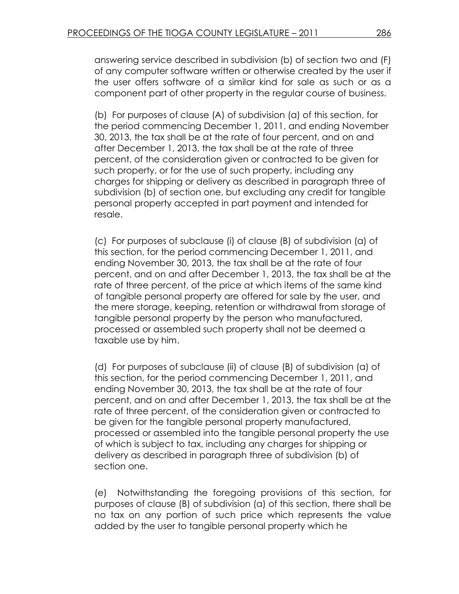answering service described in subdivision (b) of section two and (F) of any computer software written or otherwise created by the user if the user offers software of a similar kind for sale as such or as a component part of other property in the regular course of business.

(b) For purposes of clause (A) of subdivision (a) of this section, for the period commencing December 1, 2011, and ending November 30, 2013, the tax shall be at the rate of four percent, and on and after December 1, 2013, the tax shall be at the rate of three percent, of the consideration given or contracted to be given for such property, or for the use of such property, including any charges for shipping or delivery as described in paragraph three of subdivision (b) of section one, but excluding any credit for tangible personal property accepted in part payment and intended for resale.

(c) For purposes of subclause (i) of clause (B) of subdivision (a) of this section, for the period commencing December 1, 2011, and ending November 30, 2013, the tax shall be at the rate of four percent, and on and after December 1, 2013, the tax shall be at the rate of three percent, of the price at which items of the same kind of tangible personal property are offered for sale by the user, and the mere storage, keeping, retention or withdrawal from storage of tangible personal property by the person who manufactured, processed or assembled such property shall not be deemed a taxable use by him.

(d) For purposes of subclause (ii) of clause (B) of subdivision (a) of this section, for the period commencing December 1, 2011, and ending November 30, 2013, the tax shall be at the rate of four percent, and on and after December 1, 2013, the tax shall be at the rate of three percent, of the consideration given or contracted to be given for the tangible personal property manufactured, processed or assembled into the tangible personal property the use of which is subject to tax, including any charges for shipping or delivery as described in paragraph three of subdivision (b) of section one.

(e) Notwithstanding the foregoing provisions of this section, for purposes of clause (B) of subdivision (a) of this section, there shall be no tax on any portion of such price which represents the value added by the user to tangible personal property which he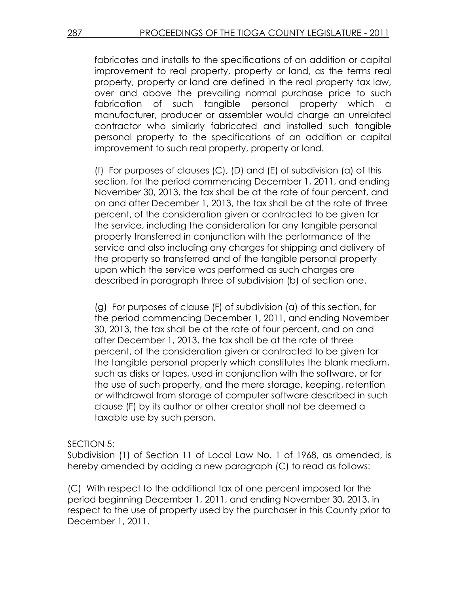fabricates and installs to the specifications of an addition or capital improvement to real property, property or land, as the terms real property, property or land are defined in the real property tax law, over and above the prevailing normal purchase price to such fabrication of such tangible personal property which a manufacturer, producer or assembler would charge an unrelated contractor who similarly fabricated and installed such tangible personal property to the specifications of an addition or capital improvement to such real property, property or land.

(f) For purposes of clauses (C), (D) and (E) of subdivision (a) of this section, for the period commencing December 1, 2011, and ending November 30, 2013, the tax shall be at the rate of four percent, and on and after December 1, 2013, the tax shall be at the rate of three percent, of the consideration given or contracted to be given for the service, including the consideration for any tangible personal property transferred in conjunction with the performance of the service and also including any charges for shipping and delivery of the property so transferred and of the tangible personal property upon which the service was performed as such charges are described in paragraph three of subdivision (b) of section one.

(g) For purposes of clause (F) of subdivision (a) of this section, for the period commencing December 1, 2011, and ending November 30, 2013, the tax shall be at the rate of four percent, and on and after December 1, 2013, the tax shall be at the rate of three percent, of the consideration given or contracted to be given for the tangible personal property which constitutes the blank medium, such as disks or tapes, used in conjunction with the software, or for the use of such property, and the mere storage, keeping, retention or withdrawal from storage of computer software described in such clause (F) by its author or other creator shall not be deemed a taxable use by such person.

### SECTION 5:

Subdivision (1) of Section 11 of Local Law No. 1 of 1968, as amended, is hereby amended by adding a new paragraph (C) to read as follows:

(C) With respect to the additional tax of one percent imposed for the period beginning December 1, 2011, and ending November 30, 2013, in respect to the use of property used by the purchaser in this County prior to December 1, 2011.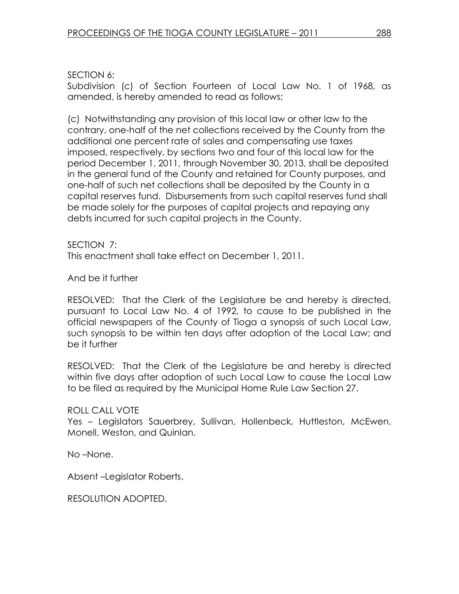SECTION 6:

Subdivision (c) of Section Fourteen of Local Law No. 1 of 1968, as amended, is hereby amended to read as follows:

(c) Notwithstanding any provision of this local law or other law to the contrary, one-half of the net collections received by the County from the additional one percent rate of sales and compensating use taxes imposed, respectively, by sections two and four of this local law for the period December 1, 2011, through November 30, 2013, shall be deposited in the general fund of the County and retained for County purposes, and one-half of such net collections shall be deposited by the County in a capital reserves fund. Disbursements from such capital reserves fund shall be made solely for the purposes of capital projects and repaying any debts incurred for such capital projects in the County.

SECTION 7:

This enactment shall take effect on December 1, 2011.

And be it further

RESOLVED: That the Clerk of the Legislature be and hereby is directed, pursuant to Local Law No. 4 of 1992, to cause to be published in the official newspapers of the County of Tioga a synopsis of such Local Law, such synopsis to be within ten days after adoption of the Local Law; and be it further

RESOLVED: That the Clerk of the Legislature be and hereby is directed within five days after adoption of such Local Law to cause the Local Law to be filed as required by the Municipal Home Rule Law Section 27.

# ROLL CALL VOTE

Yes – Legislators Sauerbrey, Sullivan, Hollenbeck, Huttleston, McEwen, Monell, Weston, and Quinlan.

No –None.

Absent –Legislator Roberts.

RESOLUTION ADOPTED.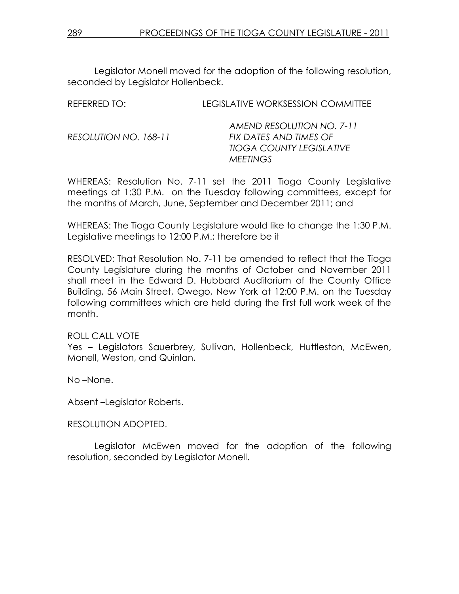Legislator Monell moved for the adoption of the following resolution, seconded by Legislator Hollenbeck.

| REFERRED TO:          | LEGISLATIVE WORKSESSION COMMITTEE |
|-----------------------|-----------------------------------|
|                       | AMEND RESOLUTION NO. 7-11         |
| RESOLUTION NO. 168-11 | FIX DATES AND TIMES OF            |
|                       | <b>TIOGA COUNTY LEGISLATIVE</b>   |
|                       | <b>MEETINGS</b>                   |

WHEREAS: Resolution No. 7-11 set the 2011 Tioga County Legislative meetings at 1:30 P.M. on the Tuesday following committees, except for the months of March, June, September and December 2011; and

WHEREAS: The Tioga County Legislature would like to change the 1:30 P.M. Legislative meetings to 12:00 P.M.; therefore be it

RESOLVED: That Resolution No. 7-11 be amended to reflect that the Tioga County Legislature during the months of October and November 2011 shall meet in the Edward D. Hubbard Auditorium of the County Office Building, 56 Main Street, Owego, New York at 12:00 P.M. on the Tuesday following committees which are held during the first full work week of the month.

#### ROLL CALL VOTE

Yes – Legislators Sauerbrey, Sullivan, Hollenbeck, Huttleston, McEwen, Monell, Weston, and Quinlan.

No –None.

Absent –Legislator Roberts.

#### RESOLUTION ADOPTED.

 Legislator McEwen moved for the adoption of the following resolution, seconded by Legislator Monell.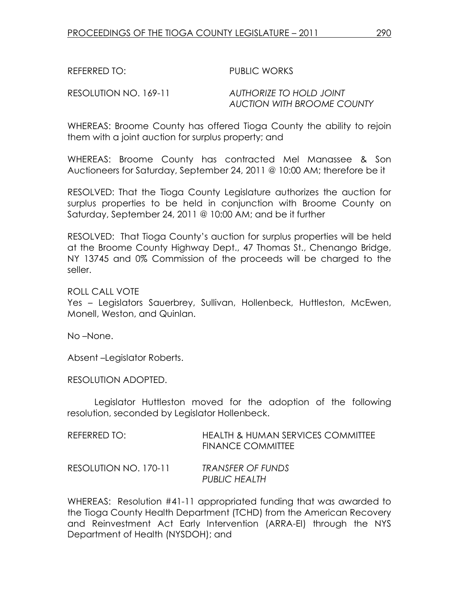REFERRED TO: PUBLIC WORKS

RESOLUTION NO. 169-11 AUTHORIZE TO HOLD JOINT AUCTION WITH BROOME COUNTY

WHEREAS: Broome County has offered Tioga County the ability to rejoin them with a joint auction for surplus property; and

WHEREAS: Broome County has contracted Mel Manassee & Son Auctioneers for Saturday, September 24, 2011 @ 10:00 AM; therefore be it

RESOLVED: That the Tioga County Legislature authorizes the auction for surplus properties to be held in conjunction with Broome County on Saturday, September 24, 2011 @ 10:00 AM; and be it further

RESOLVED: That Tioga County's auction for surplus properties will be held at the Broome County Highway Dept., 47 Thomas St., Chenango Bridge, NY 13745 and 0% Commission of the proceeds will be charged to the seller.

ROLL CALL VOTE

Yes – Legislators Sauerbrey, Sullivan, Hollenbeck, Huttleston, McEwen, Monell, Weston, and Quinlan.

No –None.

Absent –Legislator Roberts.

RESOLUTION ADOPTED.

 Legislator Huttleston moved for the adoption of the following resolution, seconded by Legislator Hollenbeck.

| REFERRED TO:          | HEALTH & HUMAN SERVICES COMMITTEE<br>FINANCE COMMITTEE |
|-----------------------|--------------------------------------------------------|
| RESOLUTION NO. 170-11 | <b>TRANSFER OF FUNDS</b><br>PUBLIC HEALTH              |

WHEREAS: Resolution #41-11 appropriated funding that was awarded to the Tioga County Health Department (TCHD) from the American Recovery and Reinvestment Act Early Intervention (ARRA-EI) through the NYS Department of Health (NYSDOH); and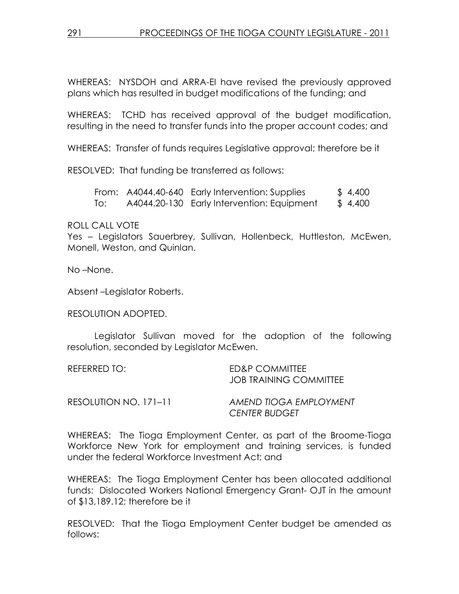WHEREAS: NYSDOH and ARRA-EI have revised the previously approved plans which has resulted in budget modifications of the funding; and

WHEREAS: TCHD has received approval of the budget modification, resulting in the need to transfer funds into the proper account codes; and

WHEREAS: Transfer of funds requires Legislative approval; therefore be it

RESOLVED: That funding be transferred as follows:

From: A4044.40-640 Early Intervention: Supplies \$ 4,400 To: A4044.20-130 Early Intervention: Equipment \$ 4,400

#### ROLL CALL VOTE

Yes – Legislators Sauerbrey, Sullivan, Hollenbeck, Huttleston, McEwen, Monell, Weston, and Quinlan.

No –None.

Absent –Legislator Roberts.

RESOLUTION ADOPTED.

 Legislator Sullivan moved for the adoption of the following resolution, seconded by Legislator McEwen.

| REFERRED TO: | ED&P COMMITTEE                |
|--------------|-------------------------------|
|              | <b>JOB TRAINING COMMITTEE</b> |
|              |                               |

| RESOLUTION NO. 171-11 | AMEND TIOGA EMPLOYMENT |
|-----------------------|------------------------|
|                       | <b>CENTER BUDGET</b>   |

WHEREAS: The Tioga Employment Center, as part of the Broome-Tioga Workforce New York for employment and training services, is funded under the federal Workforce Investment Act; and

WHEREAS: The Tioga Employment Center has been allocated additional funds: Dislocated Workers National Emergency Grant- OJT in the amount of \$13,189.12; therefore be it

RESOLVED: That the Tioga Employment Center budget be amended as follows: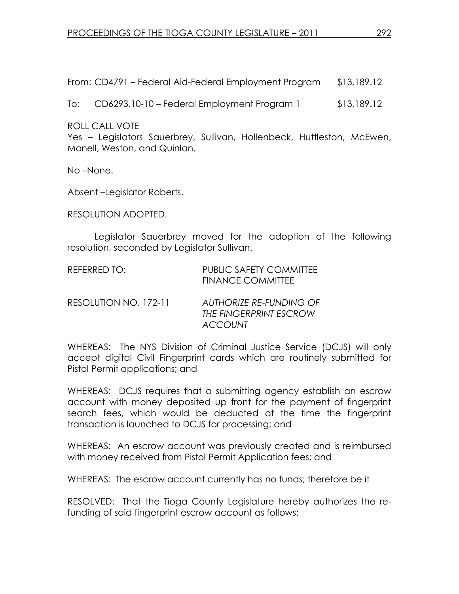From: CD4791 – Federal Aid-Federal Employment Program \$13,189.12

To: CD6293.10-10 – Federal Employment Program 1 \$13,189.12

ROLL CALL VOTE

Yes – Legislators Sauerbrey, Sullivan, Hollenbeck, Huttleston, McEwen, Monell, Weston, and Quinlan.

No –None.

Absent –Legislator Roberts.

RESOLUTION ADOPTED.

 Legislator Sauerbrey moved for the adoption of the following resolution, seconded by Legislator Sullivan.

| REFERRED TO:          | <b>PUBLIC SAFETY COMMITTEE</b><br><b>FINANCE COMMITTEE</b>          |
|-----------------------|---------------------------------------------------------------------|
| RESOLUTION NO. 172-11 | AUTHORIZE RE-FUNDING OF<br>THE FINGERPRINT ESCROW<br><b>ACCOUNT</b> |

WHEREAS: The NYS Division of Criminal Justice Service (DCJS) will only accept digital Civil Fingerprint cards which are routinely submitted for Pistol Permit applications; and

WHEREAS: DCJS requires that a submitting agency establish an escrow account with money deposited up front for the payment of fingerprint search fees, which would be deducted at the time the fingerprint transaction is launched to DCJS for processing; and

WHEREAS: An escrow account was previously created and is reimbursed with money received from Pistol Permit Application fees; and

WHEREAS: The escrow account currently has no funds; therefore be it

RESOLVED: That the Tioga County Legislature hereby authorizes the refunding of said fingerprint escrow account as follows: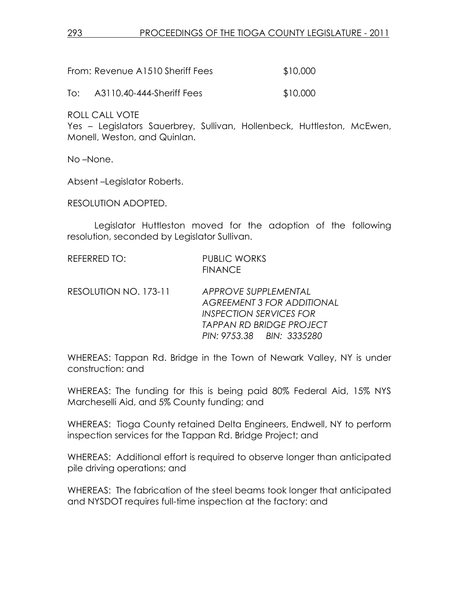| From: Revenue A1510 Sheriff Fees | \$10,000 |
|----------------------------------|----------|
|                                  |          |

To: A3110.40-444-Sheriff Fees \$10,000

ROLL CALL VOTE

Yes – Legislators Sauerbrey, Sullivan, Hollenbeck, Huttleston, McEwen, Monell, Weston, and Quinlan.

No –None.

Absent –Legislator Roberts.

RESOLUTION ADOPTED.

 Legislator Huttleston moved for the adoption of the following resolution, seconded by Legislator Sullivan.

| REFERRED TO: | <b>PUBLIC WORKS</b> |
|--------------|---------------------|
|              | <b>FINANCE</b>      |

RESOLUTION NO. 173-11 APPROVE SUPPLEMENTAL AGREEMENT 3 FOR ADDITIONAL INSPECTION SERVICES FOR TAPPAN RD BRIDGE PROJECT PIN: 9753.38 BIN: 3335280

WHEREAS: Tappan Rd. Bridge in the Town of Newark Valley, NY is under construction: and

WHEREAS: The funding for this is being paid 80% Federal Aid, 15% NYS Marcheselli Aid, and 5% County funding; and

WHEREAS: Tioga County retained Delta Engineers, Endwell, NY to perform inspection services for the Tappan Rd. Bridge Project; and

WHEREAS: Additional effort is required to observe longer than anticipated pile driving operations; and

WHEREAS: The fabrication of the steel beams took longer that anticipated and NYSDOT requires full-time inspection at the factory: and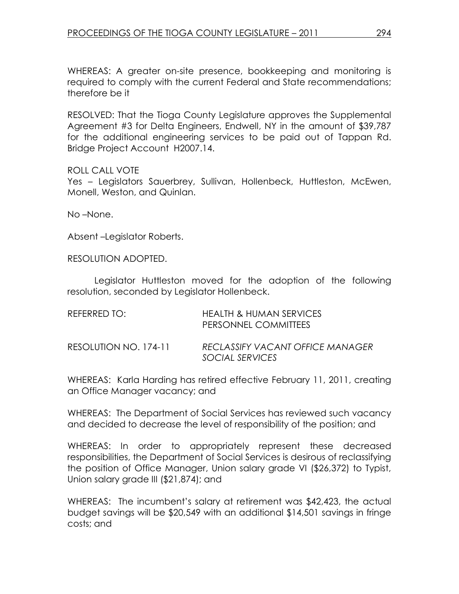WHEREAS: A greater on-site presence, bookkeeping and monitoring is required to comply with the current Federal and State recommendations; therefore be it

RESOLVED: That the Tioga County Legislature approves the Supplemental Agreement #3 for Delta Engineers, Endwell, NY in the amount of \$39,787 for the additional engineering services to be paid out of Tappan Rd. Bridge Project Account H2007.14.

### ROLL CALL VOTE

Yes – Legislators Sauerbrey, Sullivan, Hollenbeck, Huttleston, McEwen, Monell, Weston, and Quinlan.

No –None.

Absent –Legislator Roberts.

RESOLUTION ADOPTED.

 Legislator Huttleston moved for the adoption of the following resolution, seconded by Legislator Hollenbeck.

| REFERRED TO:          | <b>HEALTH &amp; HUMAN SERVICES</b><br>PERSONNEL COMMITTEES |
|-----------------------|------------------------------------------------------------|
| RESOLUTION NO. 174-11 | RECLASSIFY VACANT OFFICE MANAGER<br>SOCIAL SERVICES        |

WHEREAS: Karla Harding has retired effective February 11, 2011, creating an Office Manager vacancy; and

WHEREAS: The Department of Social Services has reviewed such vacancy and decided to decrease the level of responsibility of the position; and

WHEREAS: In order to appropriately represent these decreased responsibilities, the Department of Social Services is desirous of reclassifying the position of Office Manager, Union salary grade VI (\$26,372) to Typist, Union salary grade III (\$21,874); and

WHEREAS: The incumbent's salary at retirement was \$42,423, the actual budget savings will be \$20,549 with an additional \$14,501 savings in fringe costs; and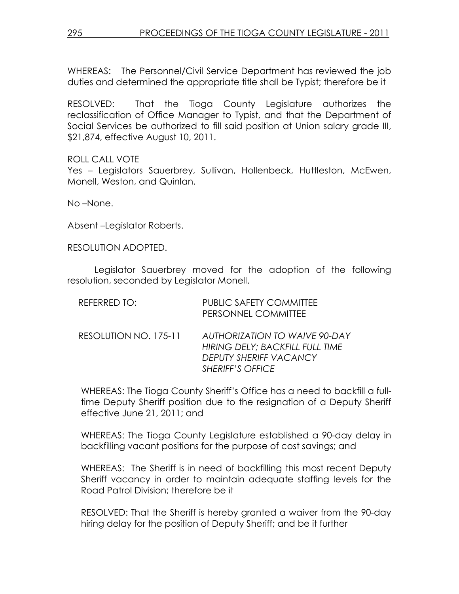WHEREAS: The Personnel/Civil Service Department has reviewed the job duties and determined the appropriate title shall be Typist; therefore be it

RESOLVED: That the Tioga County Legislature authorizes the reclassification of Office Manager to Typist, and that the Department of Social Services be authorized to fill said position at Union salary grade III, \$21,874, effective August 10, 2011.

ROLL CALL VOTE Yes - Legislators Sauerbrey, Sullivan, Hollenbeck, Huttleston, McEwen, Monell, Weston, and Quinlan.

No –None.

Absent –Legislator Roberts.

RESOLUTION ADOPTED.

 Legislator Sauerbrey moved for the adoption of the following resolution, seconded by Legislator Monell.

| REFERRED TO:          | <b>PUBLIC SAFETY COMMITTEE</b><br>PERSONNEL COMMITTEE                                                                        |
|-----------------------|------------------------------------------------------------------------------------------------------------------------------|
| RESOLUTION NO. 175-11 | <b>AUTHORIZATION TO WAIVE 90-DAY</b><br>HIRING DELY; BACKFILL FULL TIME<br>DEPUTY SHERIFF VACANCY<br><b>SHERIFF'S OFFICE</b> |

WHEREAS: The Tioga County Sheriff's Office has a need to backfill a fulltime Deputy Sheriff position due to the resignation of a Deputy Sheriff effective June 21, 2011; and

WHEREAS: The Tioga County Legislature established a 90-day delay in backfilling vacant positions for the purpose of cost savings; and

WHEREAS: The Sheriff is in need of backfilling this most recent Deputy Sheriff vacancy in order to maintain adequate staffing levels for the Road Patrol Division; therefore be it

RESOLVED: That the Sheriff is hereby granted a waiver from the 90-day hiring delay for the position of Deputy Sheriff; and be it further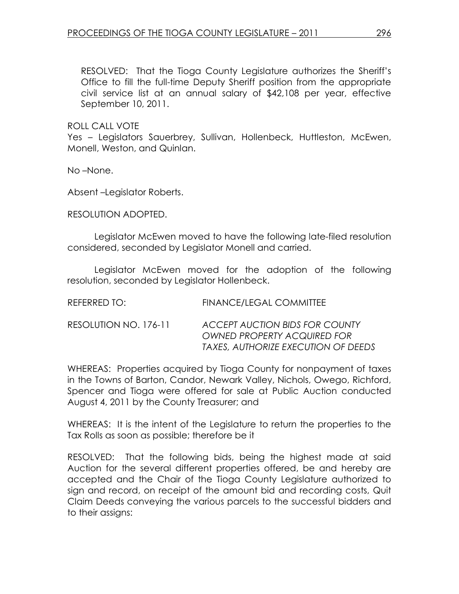RESOLVED: That the Tioga County Legislature authorizes the Sheriff's Office to fill the full-time Deputy Sheriff position from the appropriate civil service list at an annual salary of \$42,108 per year, effective September 10, 2011.

ROLL CALL VOTE

Yes – Legislators Sauerbrey, Sullivan, Hollenbeck, Huttleston, McEwen, Monell, Weston, and Quinlan.

No –None.

Absent –Legislator Roberts.

RESOLUTION ADOPTED.

 Legislator McEwen moved to have the following late-filed resolution considered, seconded by Legislator Monell and carried.

 Legislator McEwen moved for the adoption of the following resolution, seconded by Legislator Hollenbeck.

| REFERRED TO:          | FINANCE/LEGAL COMMITTEE                                                                                     |
|-----------------------|-------------------------------------------------------------------------------------------------------------|
| RESOLUTION NO. 176-11 | ACCEPT AUCTION BIDS FOR COUNTY<br><b>OWNED PROPERTY ACQUIRED FOR</b><br>TAXES, AUTHORIZE EXECUTION OF DEEDS |

WHEREAS: Properties acquired by Tioga County for nonpayment of taxes in the Towns of Barton, Candor, Newark Valley, Nichols, Owego, Richford, Spencer and Tioga were offered for sale at Public Auction conducted August 4, 2011 by the County Treasurer; and

WHEREAS: It is the intent of the Legislature to return the properties to the Tax Rolls as soon as possible; therefore be it

RESOLVED: That the following bids, being the highest made at said Auction for the several different properties offered, be and hereby are accepted and the Chair of the Tioga County Legislature authorized to sign and record, on receipt of the amount bid and recording costs, Quit Claim Deeds conveying the various parcels to the successful bidders and to their assigns: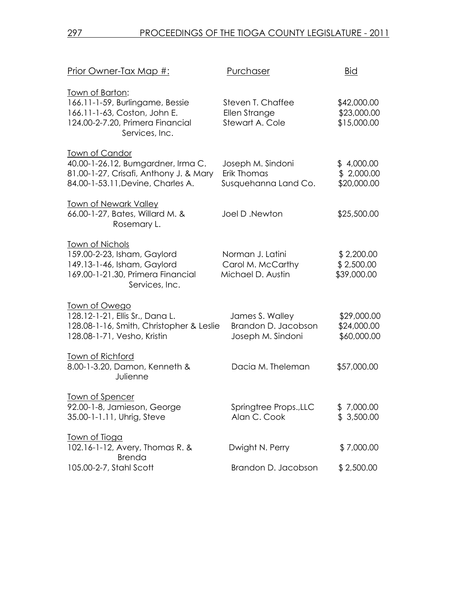| Prior Owner-Tax Map #:                                                                                                                      | Purchaser                                                   | <b>Bid</b>                                |
|---------------------------------------------------------------------------------------------------------------------------------------------|-------------------------------------------------------------|-------------------------------------------|
| Town of Barton:<br>166.11-1-59, Burlingame, Bessie<br>166.11-1-63, Coston, John E.<br>124.00-2-7.20, Primera Financial<br>Services, Inc.    | Steven T. Chaffee<br>Ellen Strange<br>Stewart A. Cole       | \$42,000.00<br>\$23,000.00<br>\$15,000.00 |
| <u>Town of Candor</u><br>40.00-1-26.12, Bumgardner, Irma C.<br>81.00-1-27, Crisafi, Anthony J. & Mary<br>84.00-1-53.11, Devine, Charles A.  | Joseph M. Sindoni<br>Erik Thomas<br>Susquehanna Land Co.    | \$4,000.00<br>\$2,000.00<br>\$20,000.00   |
| <u>Town of Newark Valley</u><br>66.00-1-27, Bates, Willard M. &<br>Rosemary L.                                                              | Joel D.Newton                                               | \$25,500.00                               |
| <b>Town of Nichols</b><br>159.00-2-23, Isham, Gaylord<br>149.13-1-46, Isham, Gaylord<br>169.00-1-21.30, Primera Financial<br>Services, Inc. | Norman J. Latini<br>Carol M. McCarthy<br>Michael D. Austin  | \$2,200.00<br>\$2,500.00<br>\$39,000.00   |
| <u>Town of Owego</u><br>128.12-1-21, Ellis Sr., Dana L.<br>128.08-1-16, Smith, Christopher & Leslie<br>128.08-1-71, Vesho, Kristin          | James S. Walley<br>Brandon D. Jacobson<br>Joseph M. Sindoni | \$29,000.00<br>\$24,000.00<br>\$60,000.00 |
| <b>Town of Richford</b><br>8.00-1-3.20, Damon, Kenneth &<br>Julienne                                                                        | Dacia M. Theleman                                           | \$57,000.00                               |
| Town of Spencer<br>92.00-1-8, Jamieson, George<br>35.00-1-1.11, Uhrig, Steve                                                                | Springtree Props., LLC<br>Alan C. Cook                      | \$7,000.00<br>\$3,500.00                  |
| <u>Town of Tioga</u><br>102.16-1-12, Avery, Thomas R. &<br><b>Brenda</b>                                                                    | Dwight N. Perry                                             | \$7,000.00                                |
| 105.00-2-7, Stahl Scott                                                                                                                     | Brandon D. Jacobson                                         | \$2,500.00                                |